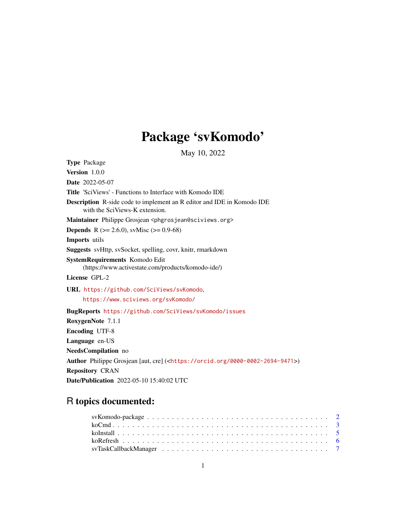## Package 'svKomodo'

May 10, 2022

<span id="page-0-0"></span>Type Package Version 1.0.0 Date 2022-05-07 Title 'SciViews' - Functions to Interface with Komodo IDE Description R-side code to implement an R editor and IDE in Komodo IDE with the SciViews-K extension. Maintainer Philippe Grosjean <phgrosjean@sciviews.org> **Depends** R ( $>= 2.6.0$ ), svMisc ( $>= 0.9-68$ ) Imports utils Suggests svHttp, svSocket, spelling, covr, knitr, rmarkdown SystemRequirements Komodo Edit (https://www.activestate.com/products/komodo-ide/) License GPL-2 URL <https://github.com/SciViews/svKomodo>, <https://www.sciviews.org/svKomodo/> BugReports <https://github.com/SciViews/svKomodo/issues> RoxygenNote 7.1.1 Encoding UTF-8 Language en-US NeedsCompilation no Author Philippe Grosjean [aut, cre] (<<https://orcid.org/0000-0002-2694-9471>>) Repository CRAN Date/Publication 2022-05-10 15:40:02 UTC

### R topics documented: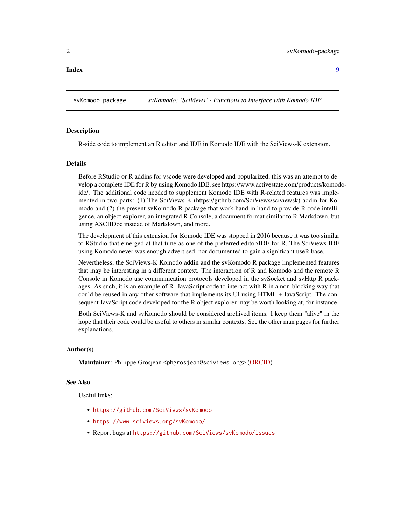<span id="page-1-0"></span>**Index** [9](#page-8-0)

svKomodo-package *svKomodo: 'SciViews' - Functions to Interface with Komodo IDE*

#### Description

R-side code to implement an R editor and IDE in Komodo IDE with the SciViews-K extension.

#### Details

Before RStudio or R addins for vscode were developed and popularized, this was an attempt to develop a complete IDE for R by using Komodo IDE, see https://www.activestate.com/products/komodoide/. The additional code needed to supplement Komodo IDE with R-related features was implemented in two parts: (1) The SciViews-K (https://github.com/SciViews/sciviewsk) addin for Komodo and (2) the present svKomodo R package that work hand in hand to provide R code intelligence, an object explorer, an integrated R Console, a document format similar to R Markdown, but using ASCIIDoc instead of Markdown, and more.

The development of this extension for Komodo IDE was stopped in 2016 because it was too similar to RStudio that emerged at that time as one of the preferred editor/IDE for R. The SciViews IDE using Komodo never was enough advertised, nor documented to gain a significant useR base.

Nevertheless, the SciViews-K Komodo addin and the svKomodo R package implemented features that may be interesting in a different context. The interaction of R and Komodo and the remote R Console in Komodo use communication protocols developed in the svSocket and svHttp R packages. As such, it is an example of R -JavaScript code to interact with R in a non-blocking way that could be reused in any other software that implements its UI using HTML + JavaScript. The consequent JavaScript code developed for the R object explorer may be worth looking at, for instance.

Both SciViews-K and svKomodo should be considered archived items. I keep them "alive" in the hope that their code could be useful to others in similar contexts. See the other man pages for further explanations.

#### Author(s)

Maintainer: Philippe Grosjean <phgrosjean@sciviews.org> [\(ORCID\)](https://orcid.org/0000-0002-2694-9471)

#### See Also

Useful links:

- <https://github.com/SciViews/svKomodo>
- <https://www.sciviews.org/svKomodo/>
- Report bugs at <https://github.com/SciViews/svKomodo/issues>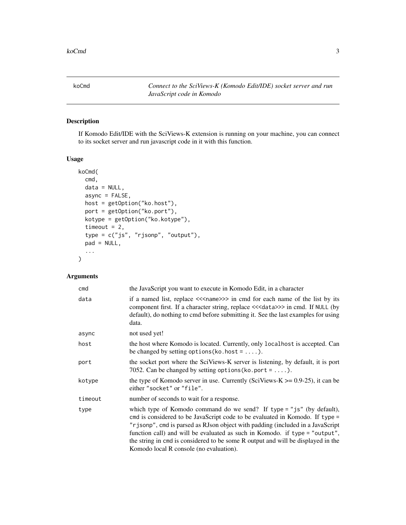<span id="page-2-1"></span><span id="page-2-0"></span>koCmd *Connect to the SciViews-K (Komodo Edit/IDE) socket server and run JavaScript code in Komodo*

#### Description

If Komodo Edit/IDE with the SciViews-K extension is running on your machine, you can connect to its socket server and run javascript code in it with this function.

#### Usage

```
koCmd(
  cmd,
  data = NULL,async = FALSE,
  host = getOption("ko.host"),
 port = getOption("ko.port"),
  kotype = getOption("ko.kotype"),
  timeout = 2,
  type = c("js", "rjsonp", "output"),
 pad = NULL,...
)
```
#### Arguments

| cmd     | the JavaScript you want to execute in Komodo Edit, in a character                                                                                                                                                                                                                                                                                                                                                                                       |
|---------|---------------------------------------------------------------------------------------------------------------------------------------------------------------------------------------------------------------------------------------------------------------------------------------------------------------------------------------------------------------------------------------------------------------------------------------------------------|
| data    | if a named list, replace << <name>&gt;&gt; in cmd for each name of the list by its<br/>component first. If a character string, replace &lt;&lt;&lt; data&gt;&gt;&gt; in cmd. If NULL (by<br/>default), do nothing to cmd before submitting it. See the last examples for using<br/>data.</name>                                                                                                                                                         |
| async   | not used yet!                                                                                                                                                                                                                                                                                                                                                                                                                                           |
| host    | the host where Komodo is located. Currently, only local host is accepted. Can<br>be changed by setting options (ko. host = $\dots$ ).                                                                                                                                                                                                                                                                                                                   |
| port    | the socket port where the SciViews-K server is listening, by default, it is port<br>7052. Can be changed by setting options (ko. port = $\dots$ ).                                                                                                                                                                                                                                                                                                      |
| kotype  | the type of Komodo server in use. Currently (SciViews-K $> = 0.9-25$ ), it can be<br>either "socket" or "file".                                                                                                                                                                                                                                                                                                                                         |
| timeout | number of seconds to wait for a response.                                                                                                                                                                                                                                                                                                                                                                                                               |
| type    | which type of Komodo command do we send? If type = "js" (by default),<br>emd is considered to be JavaScript code to be evaluated in Komodo. If type =<br>"r j sonp", cmd is parsed as RJson object with padding (included in a JavaScript<br>function call) and will be evaluated as such in Komodo. if type = "output",<br>the string in cmd is considered to be some R output and will be displayed in the<br>Komodo local R console (no evaluation). |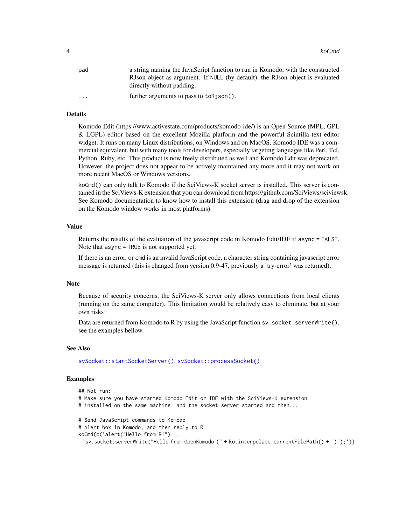<span id="page-3-0"></span>

| pad      | a string naming the JavaScript function to run in Komodo, with the constructed                             |
|----------|------------------------------------------------------------------------------------------------------------|
|          | RJson object as argument. If NULL (by default), the RJson object is evaluated<br>directly without padding. |
| $\cdots$ | further arguments to pass to $to$ Rison().                                                                 |

#### Details

Komodo Edit (https://www.activestate.com/products/komodo-ide/) is an Open Source (MPL, GPL & LGPL) editor based on the excellent Mozilla platform and the powerful Scintilla text editor widget. It runs on many Linux distributions, on Windows and on MacOS. Komodo IDE was a commercial equivalent, but with many tools for developers, especially targeting languages like Perl, Tcl, Python, Ruby, etc. This product is now freely distributed as well and Komodo Edit was deprecated. However, the project does not appear to be actively maintained any more and it may not work on more recent MacOS or Windows versions.

koCmd() can only talk to Komodo if the SciViews-K socket server is installed. This server is contained in the SciViews-K extension that you can download from https://github.com/SciViews/sciviewsk. See Komodo documentation to know how to install this extension (drag and drop of the extension on the Komodo window works in most platforms).

#### Value

Returns the results of the evaluation of the javascript code in Komodo Edit/IDE if async = FALSE. Note that async = TRUE is not supported yet.

If there is an error, or cmd is an invalid JavaScript code, a character string containing javascript error message is returned (this is changed from version 0.9-47, previously a 'try-error' was returned).

#### **Note**

Because of security concerns, the SciViews-K server only allows connections from local clients (running on the same computer). This limitation would be relatively easy to eliminate, but at your own risks!

Data are returned from Komodo to R by using the JavaScript function sv. socket.serverWrite(), see the examples bellow.

#### See Also

[svSocket::startSocketServer\(\)](#page-0-0), [svSocket::processSocket\(\)](#page-0-0)

#### Examples

```
## Not run:
# Make sure you have started Komodo Edit or IDE with the SciViews-K extension
# installed on the same machine, and the socket server started and then...
# Send JavaScript commands to Komodo
# Alert box in Komodo, and then reply to R
koCmd(c('alert("Hello from R!");',
 'sv.socket.serverWrite("Hello from OpenKomodo (" + ko.interpolate.currentFilePath() + ")");'))
```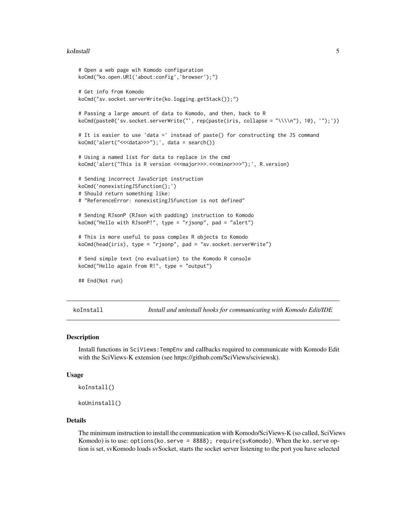#### <span id="page-4-0"></span>koInstall 5

```
# Open a web page wih Komodo configuration
koCmd("ko.open.URI('about:config','browser');")
# Get info from Komodo
koCmd("sv.socket.serverWrite(ko.logging.getStack());")
# Passing a large amount of data to Komodo, and then, back to R
koCmd(paste0('sv.socket.serverWrite("', rep(paste(iris, collapse = "\\\\n"), 10), '");'))
# It is easier to use 'data =' instead of paste() for constructing the JS command
koCmd('alert("<<<data>>>");', data = search())
# Using a named list for data to replace in the cmd
koCmd('alert("This is R version <<<major>>>.<<<minor>>>");', R.version)
# Sending incorrect JavaScript instruction
koCmd('nonexistingJSfunction();')
# Should return something like:
# "ReferenceError: nonexistingJSfunction is not defined"
# Sending RJsonP (RJson with padding) instruction to Komodo
koCmd("Hello with RJsonP!", type = "rjsonp", pad = "alert")
# This is more useful to pass complex R objects to Komodo
koCmd(head(iris), type = "rjsonp", pad = "sv.socket.serverWrite")
# Send simple text (no evaluation) to the Komodo R console
koCmd("Hello again from R!", type = "output")
## End(Not run)
```
koInstall *Install and uninstall hooks for communicating with Komodo Edit/IDE*

#### Description

Install functions in SciViews:TempEnv and callbacks required to communicate with Komodo Edit with the SciViews-K extension (see https://github.com/SciViews/sciviewsk).

#### Usage

```
koInstall()
```

```
koUninstall()
```
#### Details

The minimum instruction to install the communication with Komodo/SciViews-K (so called, SciViews Komodo) is to use: options(ko.serve = 8888); require(svKomodo). When the ko.serve option is set, svKomodo loads svSocket, starts the socket server listening to the port you have selected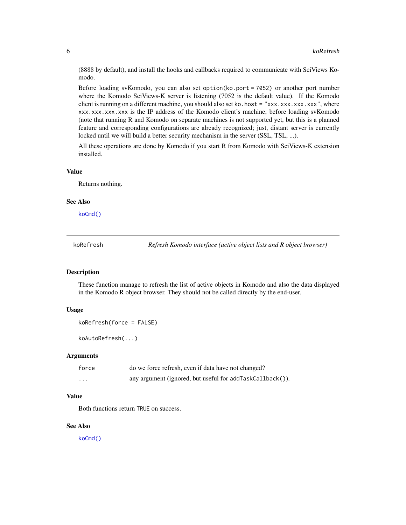<span id="page-5-0"></span>(8888 by default), and install the hooks and callbacks required to communicate with SciViews Komodo.

Before loading svKomodo, you can also set option(ko.port = 7052) or another port number where the Komodo SciViews-K server is listening (7052 is the default value). If the Komodo client is running on a different machine, you should also set ko. host = "xxx.xxx.xxx.xxx", where xxx.xxx.xxx.xxx is the IP address of the Komodo client's machine, before loading svKomodo (note that running R and Komodo on separate machines is not supported yet, but this is a planned feature and corresponding configurations are already recognized; just, distant server is currently locked until we will build a better security mechanism in the server (SSL, TSL, ...).

All these operations are done by Komodo if you start R from Komodo with SciViews-K extension installed.

#### Value

Returns nothing.

#### See Also

[koCmd\(\)](#page-2-1)

koRefresh *Refresh Komodo interface (active object lists and R object browser)*

#### Description

These function manage to refresh the list of active objects in Komodo and also the data displayed in the Komodo R object browser. They should not be called directly by the end-user.

#### Usage

```
koRefresh(force = FALSE)
```
koAutoRefresh(...)

#### Arguments

| force             | do we force refresh, even if data have not changed?       |
|-------------------|-----------------------------------------------------------|
| $\cdot\cdot\cdot$ | any argument (ignored, but useful for addTaskCallback()). |

#### Value

Both functions return TRUE on success.

#### See Also

[koCmd\(\)](#page-2-1)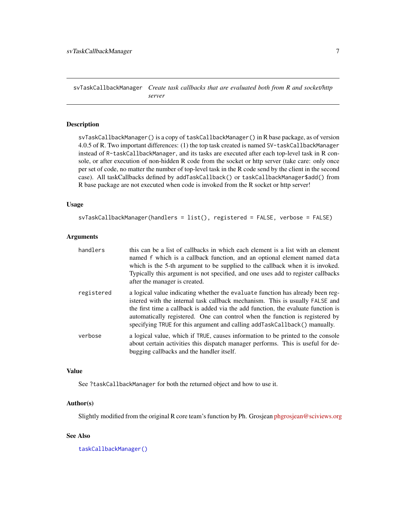<span id="page-6-0"></span>svTaskCallbackManager *Create task callbacks that are evaluated both from R and socket/http server*

#### Description

svTaskCallbackManager() is a copy of taskCallbackManager() in R base package, as of version 4.0.5 of R. Two important differences: (1) the top task created is named SV-taskCallbackManager instead of R-taskCallbackManager, and its tasks are executed after each top-level task in R console, or after execution of non-hidden R code from the socket or http server (take care: only once per set of code, no matter the number of top-level task in the R code send by the client in the second case). All taskCallbacks defined by addTaskCallback() or taskCallbackManager\$add() from R base package are not executed when code is invoked from the R socket or http server!

#### Usage

```
svTaskCallbackManager(handlers = list(), registered = FALSE, verbose = FALSE)
```
#### Arguments

| handlers   | this can be a list of callbacks in which each element is a list with an element<br>named f which is a callback function, and an optional element named data<br>which is the 5-th argument to be supplied to the callback when it is invoked.<br>Typically this argument is not specified, and one uses add to register callbacks<br>after the manager is created.                                                |
|------------|------------------------------------------------------------------------------------------------------------------------------------------------------------------------------------------------------------------------------------------------------------------------------------------------------------------------------------------------------------------------------------------------------------------|
| registered | a logical value indicating whether the evaluate function has already been reg-<br>istered with the internal task callback mechanism. This is usually FALSE and<br>the first time a callback is added via the add function, the evaluate function is<br>automatically registered. One can control when the function is registered by<br>specifying TRUE for this argument and calling addTaskCallback() manually. |
| verbose    | a logical value, which if TRUE, causes information to be printed to the console<br>about certain activities this dispatch manager performs. This is useful for de-<br>bugging callbacks and the handler itself.                                                                                                                                                                                                  |

#### Value

See ?taskCallbackManager for both the returned object and how to use it.

#### Author(s)

Slightly modified from the original R core team's function by Ph. Grosjean [phgrosjean@sciviews.org](mailto:phgrosjean@sciviews.org)

#### See Also

[taskCallbackManager\(\)](#page-0-0)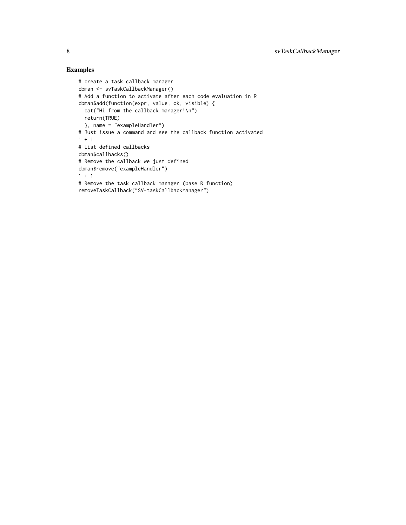#### Examples

```
# create a task callback manager
cbman <- svTaskCallbackManager()
# Add a function to activate after each code evaluation in R
cbman$add(function(expr, value, ok, visible) {
 cat("Hi from the callback manager!\n")
 return(TRUE)
  }, name = "exampleHandler")
# Just issue a command and see the callback function activated
1 + 1# List defined callbacks
cbman$callbacks()
# Remove the callback we just defined
cbman$remove("exampleHandler")
1 + 1# Remove the task callback manager (base R function)
removeTaskCallback("SV-taskCallbackManager")
```